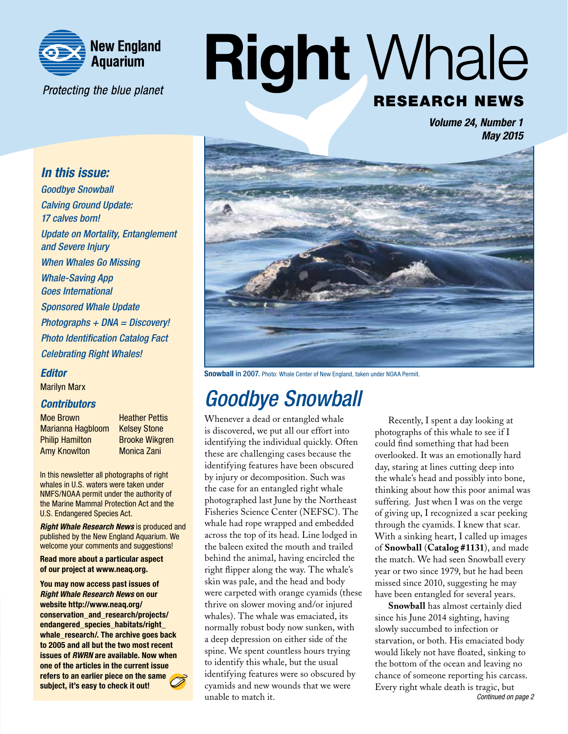

Protecting the blue planet

# **Right Whale RESEARCH NEWS**

*Volume 24, Number 1 May 2015*

#### *In this issue:*

*Goodbye Snowball Calving Ground Update: 17 calves born! Update on Mortality, Entanglement and Severe Injury When Whales Go Missing Whale-Saving App Goes International Sponsored Whale Update Photographs + DNA = Discovery! Photo Identification Catalog Fact Celebrating Right Whales!*

#### *Editor*

Marilyn Marx

#### *Contributors*

Moe Brown Heather Pettis Marianna Hagbloom Kelsey Stone **Philip Hamilton Brooke Wikgren** Amy Knowlton Monica Zani

In this newsletter all photographs of right whales in U.S. waters were taken under NMFS/NOAA permit under the authority of the Marine Mammal Protection Act and the U.S. Endangered Species Act.

*Right Whale Research News* is produced and published by the New England Aquarium. We welcome your comments and suggestions!

Read more about a particular aspect of our project at www.neaq.org.

You may now access past issues of *Right Whale Research News* on our website http://www.neaq.org/ conservation\_and\_research/projects/ endangered\_species\_habitats/right\_ whale\_research/. The archive goes back to 2005 and all but the two most recent issues of *RWRN* are available. Now when one of the articles in the current issue refers to an earlier piece on the same subject, it's easy to check it out!



Snowball in 2007. Photo: Whale Center of New England, taken under NOAA Permit.

# *Goodbye Snowball*

Whenever a dead or entangled whale is discovered, we put all our effort into identifying the individual quickly. Often these are challenging cases because the identifying features have been obscured by injury or decomposition. Such was the case for an entangled right whale photographed last June by the Northeast Fisheries Science Center (NEFSC). The whale had rope wrapped and embedded across the top of its head. Line lodged in the baleen exited the mouth and trailed behind the animal, having encircled the right flipper along the way. The whale's skin was pale, and the head and body were carpeted with orange cyamids (these thrive on slower moving and/or injured whales). The whale was emaciated, its normally robust body now sunken, with a deep depression on either side of the spine. We spent countless hours trying to identify this whale, but the usual identifying features were so obscured by cyamids and new wounds that we were unable to match it.

Recently, I spent a day looking at photographs of this whale to see if I could find something that had been overlooked. It was an emotionally hard day, staring at lines cutting deep into the whale's head and possibly into bone, thinking about how this poor animal was suffering. Just when I was on the verge of giving up, I recognized a scar peeking through the cyamids. I knew that scar. With a sinking heart, I called up images of **Snowball** (**Catalog #1131**), and made the match. We had seen Snowball every year or two since 1979, but he had been missed since 2010, suggesting he may have been entangled for several years.

**Snowball** has almost certainly died since his June 2014 sighting, having slowly succumbed to infection or starvation, or both. His emaciated body would likely not have floated, sinking to the bottom of the ocean and leaving no chance of someone reporting his carcass. Every right whale death is tragic, but *Continued on page 2*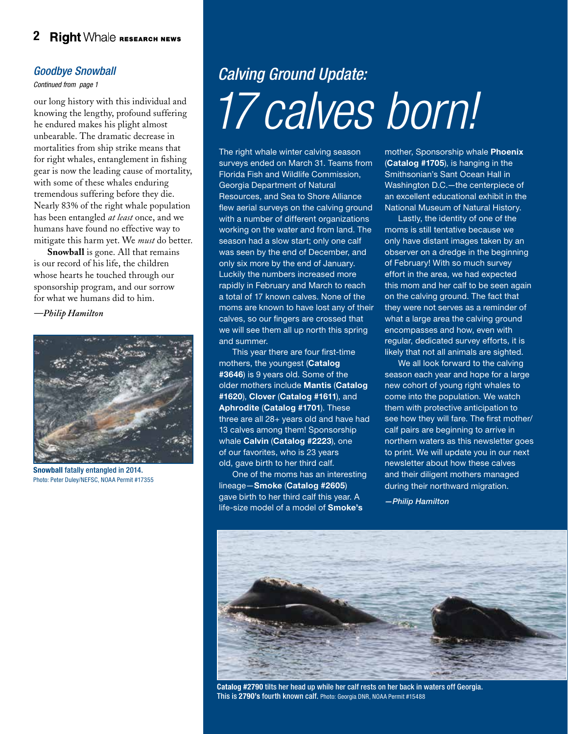#### 2 Right Whale RESEARCH NEWS

#### *Goodbye Snowball*

*Continued from page 1*

our long history with this individual and knowing the lengthy, profound suffering he endured makes his plight almost unbearable. The dramatic decrease in mortalities from ship strike means that for right whales, entanglement in fishing gear is now the leading cause of mortality, with some of these whales enduring tremendous suffering before they die. Nearly 83% of the right whale population has been entangled *at least* once, and we humans have found no effective way to mitigate this harm yet. We *must* do better.

**Snowball** is gone. All that remains is our record of his life, the children whose hearts he touched through our sponsorship program, and our sorrow for what we humans did to him.

*—Philip Hamilton*



Snowball fatally entangled in 2014. Photo: Peter Duley/NEFSC, NOAA Permit #17355

# *Calving Ground Update: 17 calves born!*

The right whale winter calving season surveys ended on March 31. Teams from Florida Fish and Wildlife Commission, Georgia Department of Natural Resources, and Sea to Shore Alliance flew aerial surveys on the calving ground with a number of different organizations working on the water and from land. The season had a slow start; only one calf was seen by the end of December, and only six more by the end of January. Luckily the numbers increased more rapidly in February and March to reach a total of 17 known calves. None of the moms are known to have lost any of their calves, so our fingers are crossed that we will see them all up north this spring and summer.

This year there are four first-time mothers, the youngest (Catalog #3646) is 9 years old. Some of the older mothers include Mantis (Catalog #1620), Clover (Catalog #1611), and Aphrodite (Catalog #1701). These three are all 28+ years old and have had 13 calves among them! Sponsorship whale Calvin (Catalog #2223), one of our favorites, who is 23 years old, gave birth to her third calf.

One of the moms has an interesting lineage—Smoke (Catalog #2605) gave birth to her third calf this year. A life-size model of a model of **Smoke's** 

mother, Sponsorship whale Phoenix (Catalog #1705), is hanging in the Smithsonian's Sant Ocean Hall in Washington D.C.—the centerpiece of an excellent educational exhibit in the National Museum of Natural History.

Lastly, the identity of one of the moms is still tentative because we only have distant images taken by an observer on a dredge in the beginning of February! With so much survey effort in the area, we had expected this mom and her calf to be seen again on the calving ground. The fact that they were not serves as a reminder of what a large area the calving ground encompasses and how, even with regular, dedicated survey efforts, it is likely that not all animals are sighted.

We all look forward to the calving season each year and hope for a large new cohort of young right whales to come into the population. We watch them with protective anticipation to see how they will fare. The first mother/ calf pairs are beginning to arrive in northern waters as this newsletter goes to print. We will update you in our next newsletter about how these calves and their diligent mothers managed during their northward migration.

*—Philip Hamilton*



Catalog #2790 tilts her head up while her calf rests on her back in waters off Georgia. This is 2790's fourth known calf. Photo: Georgia DNR, NOAA Permit #15488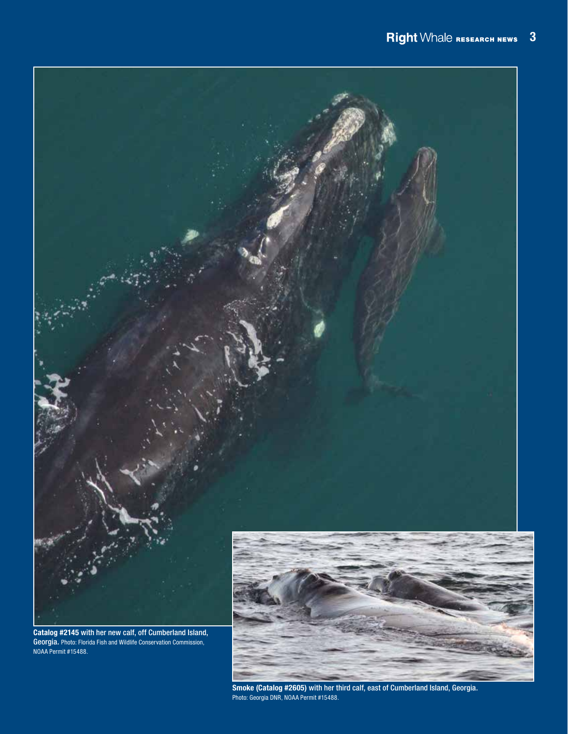

Smoke (Catalog #2605) with her third calf, east of Cumberland Island, Georgia. Photo: Georgia DNR, NOAA Permit #15488.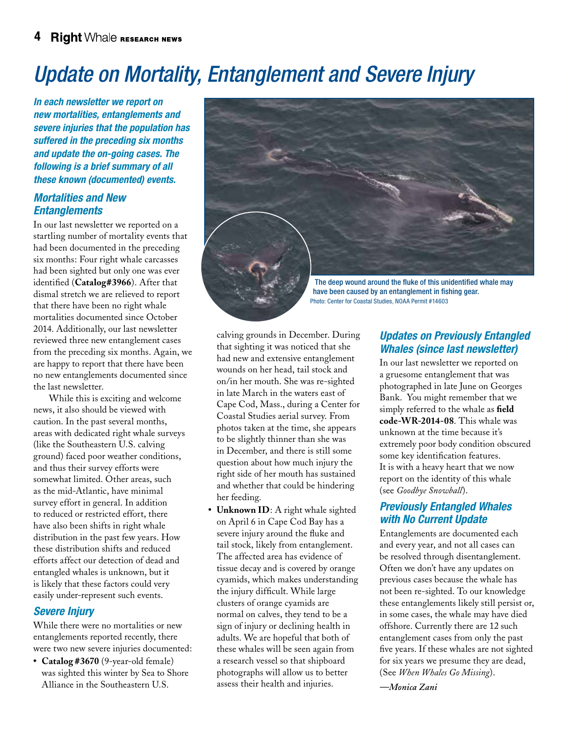# *Update on Mortality, Entanglement and Severe Injury*

*In each newsletter we report on new mortalities, entanglements and severe injuries that the population has suffered in the preceding six months and update the on-going cases. The following is a brief summary of all these known (documented) events.*

#### *Mortalities and New Entanglements*

In our last newsletter we reported on a startling number of mortality events that had been documented in the preceding six months: Four right whale carcasses had been sighted but only one was ever identified (**Catalog#3966**). After that dismal stretch we are relieved to report that there have been no right whale mortalities documented since October 2014. Additionally, our last newsletter reviewed three new entanglement cases from the preceding six months. Again, we are happy to report that there have been no new entanglements documented since the last newsletter.

 While this is exciting and welcome news, it also should be viewed with caution. In the past several months, areas with dedicated right whale surveys (like the Southeastern U.S. calving ground) faced poor weather conditions, and thus their survey efforts were somewhat limited. Other areas, such as the mid-Atlantic, have minimal survey effort in general. In addition to reduced or restricted effort, there have also been shifts in right whale distribution in the past few years. How these distribution shifts and reduced efforts affect our detection of dead and entangled whales is unknown, but it is likely that these factors could very easily under-represent such events.

#### *Severe Injury*

While there were no mortalities or new entanglements reported recently, there were two new severe injuries documented:

**• Catalog #3670** (9-year-old female) was sighted this winter by Sea to Shore Alliance in the Southeastern U.S.

The deep wound around the fluke of this unidentified whale may have been caused by an entanglement in fishing gear. Photo: Center for Coastal Studies, NOAA Permit #14603

calving grounds in December. During that sighting it was noticed that she had new and extensive entanglement wounds on her head, tail stock and on/in her mouth. She was re-sighted in late March in the waters east of Cape Cod, Mass., during a Center for Coastal Studies aerial survey. From photos taken at the time, she appears to be slightly thinner than she was in December, and there is still some question about how much injury the right side of her mouth has sustained and whether that could be hindering her feeding.

**• Unknown ID**: A right whale sighted on April 6 in Cape Cod Bay has a severe injury around the fluke and tail stock, likely from entanglement. The affected area has evidence of tissue decay and is covered by orange cyamids, which makes understanding the injury difficult. While large clusters of orange cyamids are normal on calves, they tend to be a sign of injury or declining health in adults. We are hopeful that both of these whales will be seen again from a research vessel so that shipboard photographs will allow us to better assess their health and injuries.

#### *Updates on Previously Entangled Whales (since last newsletter)*

In our last newsletter we reported on a gruesome entanglement that was photographed in late June on Georges Bank. You might remember that we simply referred to the whale as **field code-WR-2014-08**. This whale was unknown at the time because it's extremely poor body condition obscured some key identification features. It is with a heavy heart that we now report on the identity of this whale (see *Goodbye Snowball*).

#### *Previously Entangled Whales with No Current Update*

Entanglements are documented each and every year, and not all cases can be resolved through disentanglement. Often we don't have any updates on previous cases because the whale has not been re-sighted. To our knowledge these entanglements likely still persist or, in some cases, the whale may have died offshore. Currently there are 12 such entanglement cases from only the past five years. If these whales are not sighted for six years we presume they are dead, (See *When Whales Go Missing*).

*—Monica Zani*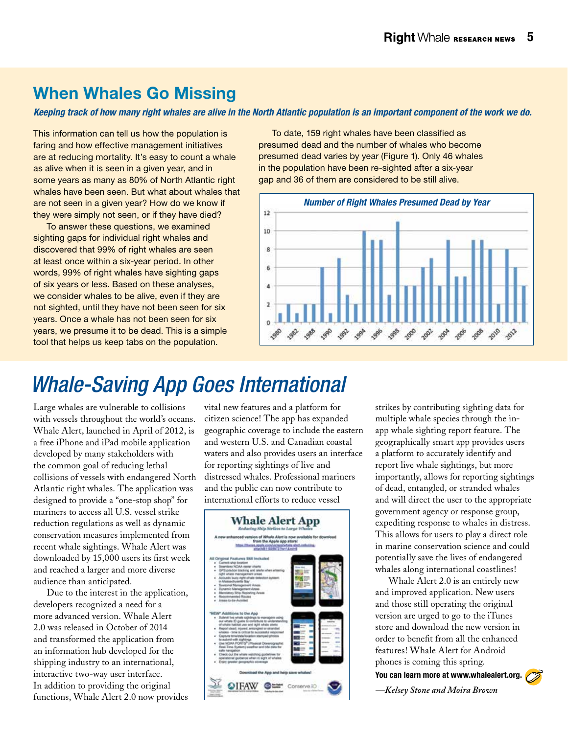### When Whales Go Missing

*Keeping track of how many right whales are alive in the North Atlantic population is an important component of the work we do.*

This information can tell us how the population is faring and how effective management initiatives are at reducing mortality. It's easy to count a whale as alive when it is seen in a given year, and in some years as many as 80% of North Atlantic right whales have been seen. But what about whales that are not seen in a given year? How do we know if they were simply not seen, or if they have died?

To answer these questions, we examined sighting gaps for individual right whales and discovered that 99% of right whales are seen at least once within a six-year period. In other words, 99% of right whales have sighting gaps of six years or less. Based on these analyses, we consider whales to be alive, even if they are not sighted, until they have not been seen for six years. Once a whale has not been seen for six years, we presume it to be dead. This is a simple tool that helps us keep tabs on the population.

To date, 159 right whales have been classified as presumed dead and the number of whales who become presumed dead varies by year (Figure 1). Only 46 whales in the population have been re-sighted after a six-year gap and 36 of them are considered to be still alive.



# *Whale-Saving App Goes International*

Large whales are vulnerable to collisions with vessels throughout the world's oceans. Whale Alert, launched in April of 2012, is a free iPhone and iPad mobile application developed by many stakeholders with the common goal of reducing lethal collisions of vessels with endangered North Atlantic right whales. The application was designed to provide a "one-stop shop" for mariners to access all U.S. vessel strike reduction regulations as well as dynamic conservation measures implemented from recent whale sightings. Whale Alert was downloaded by 15,000 users its first week and reached a larger and more diverse audience than anticipated.

Due to the interest in the application, developers recognized a need for a more advanced version. Whale Alert 2.0 was released in October of 2014 and transformed the application from an information hub developed for the shipping industry to an international, interactive two-way user interface. In addition to providing the original functions, Whale Alert 2.0 now provides

vital new features and a platform for citizen science! The app has expanded geographic coverage to include the eastern and western U.S. and Canadian coastal waters and also provides users an interface for reporting sightings of live and distressed whales. Professional mariners and the public can now contribute to international efforts to reduce vessel



strikes by contributing sighting data for multiple whale species through the inapp whale sighting report feature. The geographically smart app provides users a platform to accurately identify and report live whale sightings, but more importantly, allows for reporting sightings of dead, entangled, or stranded whales and will direct the user to the appropriate government agency or response group, expediting response to whales in distress. This allows for users to play a direct role in marine conservation science and could potentially save the lives of endangered whales along international coastlines!

Whale Alert 2.0 is an entirely new and improved application. New users and those still operating the original version are urged to go to the iTunes store and download the new version in order to benefit from all the enhanced features! Whale Alert for Android phones is coming this spring. You can learn more at www.whalealert.org.

*—Kelsey Stone and Moira Brown*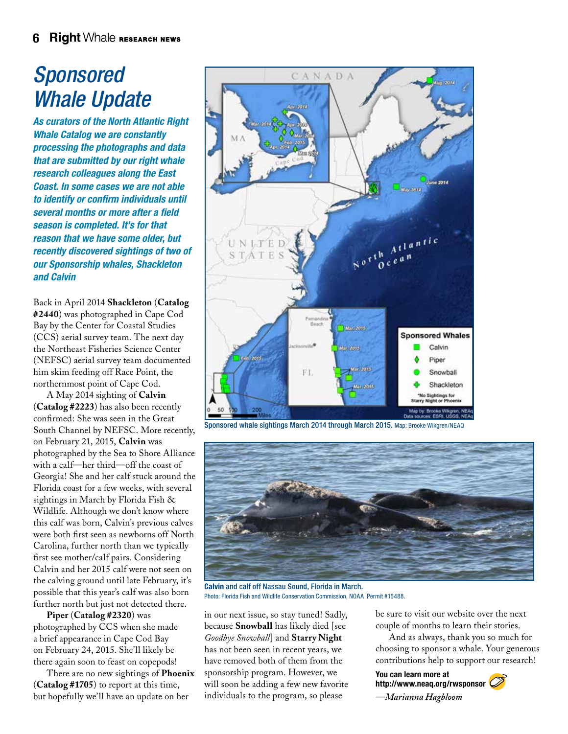# *Sponsored Whale Update*

*As curators of the North Atlantic Right Whale Catalog we are constantly processing the photographs and data that are submitted by our right whale research colleagues along the East Coast. In some cases we are not able to identify or confirm individuals until several months or more after a field season is completed. It's for that reason that we have some older, but recently discovered sightings of two of our Sponsorship whales, Shackleton and Calvin* 

Back in April 2014 **Shackleton** (**Catalog #2440**) was photographed in Cape Cod Bay by the Center for Coastal Studies (CCS) aerial survey team. The next day the Northeast Fisheries Science Center (NEFSC) aerial survey team documented him skim feeding off Race Point, the northernmost point of Cape Cod.

A May 2014 sighting of **Calvin** (**Catalog #2223**) has also been recently confirmed: She was seen in the Great South Channel by NEFSC. More recently, on February 21, 2015, **Calvin** was photographed by the Sea to Shore Alliance with a calf—her third—off the coast of Georgia! She and her calf stuck around the Florida coast for a few weeks, with several sightings in March by Florida Fish & Wildlife. Although we don't know where this calf was born, Calvin's previous calves were both first seen as newborns off North Carolina, further north than we typically first see mother/calf pairs. Considering Calvin and her 2015 calf were not seen on the calving ground until late February, it's possible that this year's calf was also born further north but just not detected there.

**Piper** (**Catalog #2320**) was photographed by CCS when she made a brief appearance in Cape Cod Bay on February 24, 2015. She'll likely be there again soon to feast on copepods!

There are no new sightings of **Phoenix** (**Catalog #1705**) to report at this time, but hopefully we'll have an update on her



Sponsored whale sightings March 2014 through March 2015. Map: Brooke Wikgren/NEAQ



Calvin and calf off Nassau Sound, Florida in March. Photo: Florida Fish and Wildlife Conservation Commission, NOAA Permit #15488.

in our next issue, so stay tuned! Sadly, because **Snowball** has likely died [see *Goodbye Snowball*] and **Starry Night** has not been seen in recent years, we have removed both of them from the sponsorship program. However, we will soon be adding a few new favorite individuals to the program, so please

be sure to visit our website over the next couple of months to learn their stories.

And as always, thank you so much for choosing to sponsor a whale. Your generous contributions help to support our research!

You can learn more at http://www.neaq.org/rwsponsor *—Marianna Hagbloom*

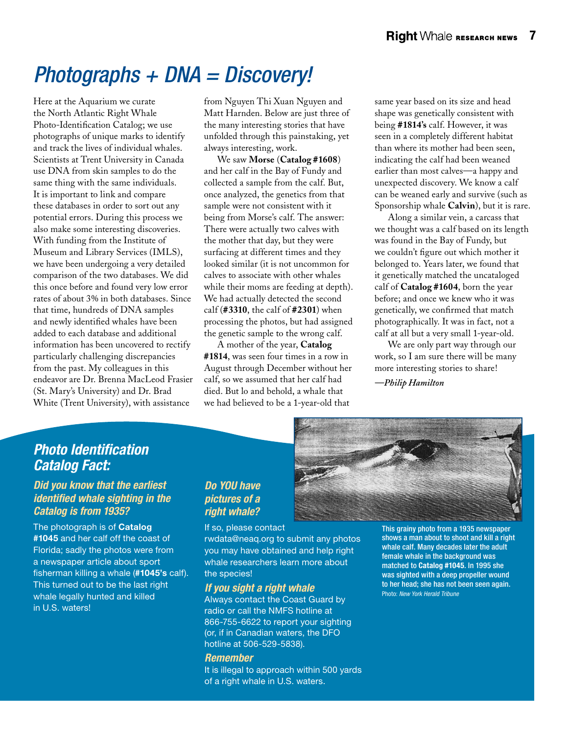# *Photographs + DNA = Discovery!*

Here at the Aquarium we curate the North Atlantic Right Whale Photo-Identification Catalog; we use photographs of unique marks to identify and track the lives of individual whales. Scientists at Trent University in Canada use DNA from skin samples to do the same thing with the same individuals. It is important to link and compare these databases in order to sort out any potential errors. During this process we also make some interesting discoveries. With funding from the Institute of Museum and Library Services (IMLS), we have been undergoing a very detailed comparison of the two databases. We did this once before and found very low error rates of about 3% in both databases. Since that time, hundreds of DNA samples and newly identified whales have been added to each database and additional information has been uncovered to rectify particularly challenging discrepancies from the past. My colleagues in this endeavor are Dr. Brenna MacLeod Frasier (St. Mary's University) and Dr. Brad White (Trent University), with assistance

from Nguyen Thi Xuan Nguyen and Matt Harnden. Below are just three of the many interesting stories that have unfolded through this painstaking, yet always interesting, work.

We saw **Morse** (**Catalog #1608**) and her calf in the Bay of Fundy and collected a sample from the calf. But, once analyzed, the genetics from that sample were not consistent with it being from Morse's calf. The answer: There were actually two calves with the mother that day, but they were surfacing at different times and they looked similar (it is not uncommon for calves to associate with other whales while their moms are feeding at depth). We had actually detected the second calf (**#3310**, the calf of **#2301**) when processing the photos, but had assigned the genetic sample to the wrong calf.

A mother of the year, **Catalog #1814**, was seen four times in a row in August through December without her calf, so we assumed that her calf had died. But lo and behold, a whale that we had believed to be a 1-year-old that

same year based on its size and head shape was genetically consistent with being **#1814's** calf. However, it was seen in a completely different habitat than where its mother had been seen, indicating the calf had been weaned earlier than most calves—a happy and unexpected discovery. We know a calf can be weaned early and survive (such as Sponsorship whale **Calvin**), but it is rare.

Along a similar vein, a carcass that we thought was a calf based on its length was found in the Bay of Fundy, but we couldn't figure out which mother it belonged to. Years later, we found that it genetically matched the uncataloged calf of **Catalog #1604**, born the year before; and once we knew who it was genetically, we confirmed that match photographically. It was in fact, not a calf at all but a very small 1-year-old.

We are only part way through our work, so I am sure there will be many more interesting stories to share!

*—Philip Hamilton*

#### *Photo Identification Catalog Fact:*

*Did you know that the earliest identified whale sighting in the Catalog is from 1935?* 

The photograph is of Catalog #1045 and her calf off the coast of Florida; sadly the photos were from a newspaper article about sport fisherman killing a whale (#1045's calf). This turned out to be the last right whale legally hunted and killed in U.S. waters!

#### *Do YOU have pictures of a right whale?*

If so, please contact rwdata@neaq.org to submit any photos you may have obtained and help right whale researchers learn more about the species!

#### *If you sight a right whale*

Always contact the Coast Guard by radio or call the NMFS hotline at 866-755-6622 to report your sighting (or, if in Canadian waters, the DFO hotline at 506-529-5838).

#### *Remember*

It is illegal to approach within 500 yards of a right whale in U.S. waters.

This grainy photo from a 1935 newspaper shows a man about to shoot and kill a right whale calf. Many decades later the adult female whale in the background was matched to Catalog #1045. In 1995 she was sighted with a deep propeller wound to her head; she has not been seen again. Photo: *New York Herald Tribune*